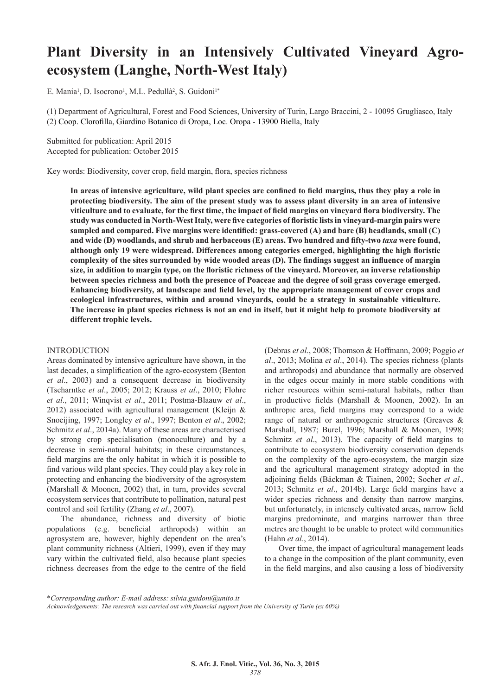# **Plant Diversity in an Intensively Cultivated Vineyard Agroecosystem (Langhe, North-West Italy)**

E. Mania<sup>1</sup>, D. Isocrono<sup>1</sup>, M.L. Pedullà<sup>2</sup>, S. Guidoni<sup>1\*</sup>

(1) Department of Agricultural, Forest and Food Sciences, University of Turin, Largo Braccini, 2 - 10095 Grugliasco, Italy (2) Coop. Clorofilla, Giardino Botanico di Oropa, Loc. Oropa - 13900 Biella, Italy

Submitted for publication: April 2015 Accepted for publication: October 2015

Key words: Biodiversity, cover crop, field margin, flora, species richness

**In areas of intensive agriculture, wild plant species are confined to field margins, thus they play a role in protecting biodiversity. The aim of the present study was to assess plant diversity in an area of intensive viticulture and to evaluate, for the first time, the impact of field margins on vineyard flora biodiversity. The study was conducted in North-West Italy, were five categories of floristic lists in vineyard-margin pairs were sampled and compared. Five margins were identified: grass-covered (A) and bare (B) headlands, small (C) and wide (D) woodlands, and shrub and herbaceous (E) areas. Two hundred and fifty-two** *taxa* **were found, although only 19 were widespread. Differences among categories emerged, highlighting the high floristic complexity of the sites surrounded by wide wooded areas (D). The findings suggest an influence of margin size, in addition to margin type, on the floristic richness of the vineyard. Moreover, an inverse relationship between species richness and both the presence of Poaceae and the degree of soil grass coverage emerged. Enhancing biodiversity, at landscape and field level, by the appropriate management of cover crops and ecological infrastructures, within and around vineyards, could be a strategy in sustainable viticulture. The increase in plant species richness is not an end in itself, but it might help to promote biodiversity at different trophic levels.**

### INTRODUCTION

Areas dominated by intensive agriculture have shown, in the last decades, a simplification of the agro-ecosystem (Benton *et al*., 2003) and a consequent decrease in biodiversity (Tscharntke *et al*., 2005; 2012; Krauss *et al*., 2010; Flohre *et al*., 2011; Winqvist *et al*., 2011; Postma-Blaauw *et al*., 2012) associated with agricultural management (Kleijn  $\&$ Snoeijing, 1997; Longley *et al*., 1997; Benton *et al*., 2002; Schmitz *et al*., 2014a). Many of these areas are characterised by strong crop specialisation (monoculture) and by a decrease in semi-natural habitats; in these circumstances, field margins are the only habitat in which it is possible to find various wild plant species. They could play a key role in protecting and enhancing the biodiversity of the agrosystem (Marshall & Moonen, 2002) that, in turn, provides several ecosystem services that contribute to pollination, natural pest control and soil fertility (Zhang *et al*., 2007).

The abundance, richness and diversity of biotic populations (e.g. beneficial arthropods) within an agrosystem are, however, highly dependent on the area's plant community richness (Altieri, 1999), even if they may vary within the cultivated field, also because plant species richness decreases from the edge to the centre of the field

(Debras *et al*., 2008; Thomson & Hoffmann, 2009; Poggio *et al*., 2013; Molina *et al*., 2014). The species richness (plants and arthropods) and abundance that normally are observed in the edges occur mainly in more stable conditions with richer resources within semi-natural habitats, rather than in productive fields (Marshall & Moonen, 2002). In an anthropic area, field margins may correspond to a wide range of natural or anthropogenic structures (Greaves & Marshall, 1987; Burel, 1996; Marshall & Moonen, 1998; Schmitz *et al*., 2013). The capacity of field margins to contribute to ecosystem biodiversity conservation depends on the complexity of the agro-ecosystem, the margin size and the agricultural management strategy adopted in the adjoining fields (Bäckman & Tiainen, 2002; Socher *et al*., 2013; Schmitz *et al*., 2014b). Large field margins have a wider species richness and density than narrow margins, but unfortunately, in intensely cultivated areas, narrow field margins predominate, and margins narrower than three metres are thought to be unable to protect wild communities (Hahn *et al*., 2014).

Over time, the impact of agricultural management leads to a change in the composition of the plant community, even in the field margins, and also causing a loss of biodiversity

\**Corresponding author: E-mail address: silvia.guidoni@unito.it*

*Acknowledgements: The research was carried out with financial support from the University of Turin (ex 60%)*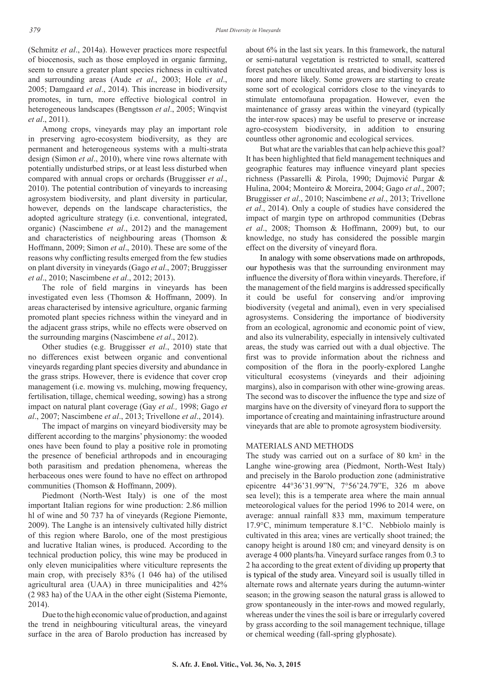(Schmitz *et al*., 2014a). However practices more respectful of biocenosis, such as those employed in organic farming, seem to ensure a greater plant species richness in cultivated and surrounding areas (Aude *et al*., 2003; Hole *et al*., 2005; Damgaard *et al*., 2014). This increase in biodiversity promotes, in turn, more effective biological control in heterogeneous landscapes (Bengtsson *et al*., 2005; Winqvist *et al*., 2011).

Among crops, vineyards may play an important role in preserving agro-ecosystem biodiversity, as they are permanent and heterogeneous systems with a multi-strata design (Simon *et al*., 2010), where vine rows alternate with potentially undisturbed strips, or at least less disturbed when compared with annual crops or orchards (Bruggisser *et al*., 2010). The potential contribution of vineyards to increasing agrosystem biodiversity, and plant diversity in particular, however, depends on the landscape characteristics, the adopted agriculture strategy (i.e. conventional, integrated, organic) (Nascimbene *et al*., 2012) and the management and characteristics of neighbouring areas (Thomson & Hoffmann, 2009; Simon *et al*., 2010). These are some of the reasons why conflicting results emerged from the few studies on plant diversity in vineyards (Gago *et al*., 2007; Bruggisser *et al*., 2010; Nascimbene *et al*., 2012; 2013).

The role of field margins in vineyards has been investigated even less (Thomson & Hoffmann, 2009). In areas characterised by intensive agriculture, organic farming promoted plant species richness within the vineyard and in the adjacent grass strips, while no effects were observed on the surrounding margins (Nascimbene *et al*., 2012).

Other studies (e.g. Bruggisser *et al*., 2010) state that no differences exist between organic and conventional vineyards regarding plant species diversity and abundance in the grass strips. However, there is evidence that cover crop management (i.e. mowing vs. mulching, mowing frequency, fertilisation, tillage, chemical weeding, sowing) has a strong impact on natural plant coverage (Gay *et al.,* 1998; Gago *et al*., 2007; Nascimbene *et al*., 2013; Trivellone *et al*., 2014).

The impact of margins on vineyard biodiversity may be different according to the margins' physionomy: the wooded ones have been found to play a positive role in promoting the presence of beneficial arthropods and in encouraging both parasitism and predation phenomena, whereas the herbaceous ones were found to have no effect on arthropod communities (Thomson & Hoffmann, 2009).

Piedmont (North-West Italy) is one of the most important Italian regions for wine production: 2.86 million hl of wine and 50 737 ha of vineyards (Regione Piemonte, 2009). The Langhe is an intensively cultivated hilly district of this region where Barolo, one of the most prestigious and lucrative Italian wines, is produced. According to the technical production policy, this wine may be produced in only eleven municipalities where viticulture represents the main crop, with precisely 83% (1 046 ha) of the utilised agricultural area (UAA) in three municipalities and 42% (2 983 ha) of the UAA in the other eight (Sistema Piemonte, 2014).

Due to the high economic value of production, and against the trend in neighbouring viticultural areas, the vineyard surface in the area of Barolo production has increased by about 6% in the last six years. In this framework, the natural or semi-natural vegetation is restricted to small, scattered forest patches or uncultivated areas, and biodiversity loss is more and more likely. Some growers are starting to create some sort of ecological corridors close to the vineyards to stimulate entomofauna propagation. However, even the maintenance of grassy areas within the vineyard (typically the inter-row spaces) may be useful to preserve or increase agro-ecosystem biodiversity, in addition to ensuring countless other agronomic and ecological services.

But what are the variables that can help achieve this goal? It has been highlighted that field management techniques and geographic features may influence vineyard plant species richness (Passarelli & Pirola, 1990; Dujmović Purgar & Hulina, 2004; Monteiro & Moreira, 2004; Gago *et al*., 2007; Bruggisser *et al*., 2010; Nascimbene *et al*., 2013; Trivellone *et al*., 2014). Only a couple of studies have considered the impact of margin type on arthropod communities (Debras *et al*., 2008; Thomson & Hoffmann, 2009) but, to our knowledge, no study has considered the possible margin effect on the diversity of vineyard flora.

In analogy with some observations made on arthropods, our hypothesis was that the surrounding environment may influence the diversity of flora within vineyards. Therefore, if the management of the field margins is addressed specifically it could be useful for conserving and/or improving biodiversity (vegetal and animal), even in very specialised agrosystems. Considering the importance of biodiversity from an ecological, agronomic and economic point of view, and also its vulnerability, especially in intensively cultivated areas, the study was carried out with a dual objective. The first was to provide information about the richness and composition of the flora in the poorly-explored Langhe viticultural ecosystems (vineyards and their adjoining margins), also in comparison with other wine-growing areas. The second was to discover the influence the type and size of margins have on the diversity of vineyard flora to support the importance of creating and maintaining infrastructure around vineyards that are able to promote agrosystem biodiversity.

#### MATERIALS AND METHODS

The study was carried out on a surface of  $80 \text{ km}^2$  in the Langhe wine-growing area (Piedmont, North-West Italy) and precisely in the Barolo production zone (administrative epicentre 44°36'31.99"N, 7°56'24.79"E, 326 m above sea level); this is a temperate area where the main annual meteorological values for the period 1996 to 2014 were, on average: annual rainfall 833 mm, maximum temperature 17.9°C, minimum temperature 8.1°C. Nebbiolo mainly is cultivated in this area; vines are vertically shoot trained; the canopy height is around 180 cm; and vineyard density is on average 4 000 plants/ha. Vineyard surface ranges from 0.3 to 2 ha according to the great extent of dividing up property that is typical of the study area. Vineyard soil is usually tilled in alternate rows and alternate years during the autumn-winter season; in the growing season the natural grass is allowed to grow spontaneously in the inter-rows and mowed regularly, whereas under the vines the soil is bare or irregularly covered by grass according to the soil management technique, tillage or chemical weeding (fall-spring glyphosate).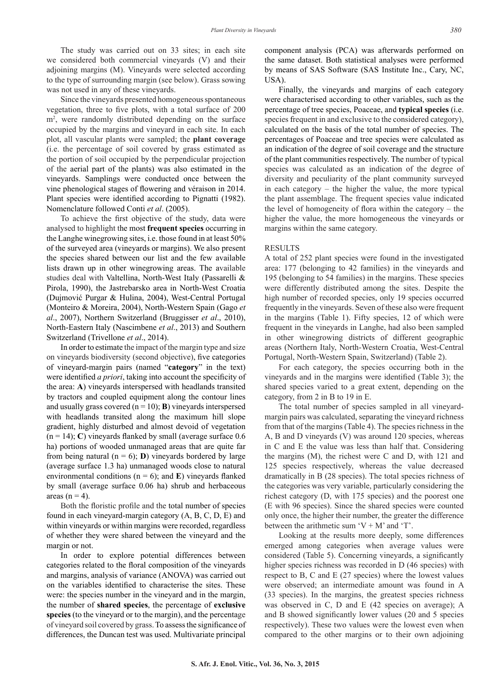The study was carried out on 33 sites; in each site we considered both commercial vineyards (V) and their adjoining margins (M). Vineyards were selected according to the type of surrounding margin (see below). Grass sowing was not used in any of these vineyards.

Since the vineyards presented homogeneous spontaneous vegetation, three to five plots, with a total surface of 200 m2 , were randomly distributed depending on the surface occupied by the margins and vineyard in each site. In each plot, all vascular plants were sampled; the **plant coverage** (i.e. the percentage of soil covered by grass estimated as the portion of soil occupied by the perpendicular projection of the aerial part of the plants) was also estimated in the vineyards. Samplings were conducted once between the vine phenological stages of flowering and véraison in 2014. Plant species were identified according to Pignatti (1982). Nomenclature followed Conti *et al*. (2005).

To achieve the first objective of the study, data were analysed to highlight the most **frequent species** occurring in the Langhe winegrowing sites, i.e. those found in at least 50% of the surveyed area (vineyards or margins). We also present the species shared between our list and the few available lists drawn up in other winegrowing areas. The available studies deal with Valtellina, North-West Italy (Passarelli & Pirola, 1990), the Jastrebarsko area in North-West Croatia (Dujmović Purgar & Hulina, 2004), West-Central Portugal (Monteiro & Moreira, 2004), North-Western Spain (Gago *et al*., 2007), Northern Switzerland (Bruggisser *et al*., 2010), North-Eastern Italy (Nascimbene *et al*., 2013) and Southern Switzerland (Trivellone *et al*., 2014).

In order to estimate the impact of the margin type and size on vineyards biodiversity (second objective), five categories of vineyard-margin pairs (named "**category**" in the text) were identified *a priori*, taking into account the specificity of the area: **A**) vineyards interspersed with headlands transited by tractors and coupled equipment along the contour lines and usually grass covered  $(n = 10)$ ; **B**) vineyards interspersed with headlands transited along the maximum hill slope gradient, highly disturbed and almost devoid of vegetation  $(n = 14)$ ; C) vineyards flanked by small (average surface 0.6) ha) portions of wooded unmanaged areas that are quite far from being natural  $(n = 6)$ ; **D**) vineyards bordered by large (average surface 1.3 ha) unmanaged woods close to natural environmental conditions  $(n = 6)$ ; and **E**) vineyards flanked by small (average surface 0.06 ha) shrub and herbaceous areas  $(n = 4)$ .

Both the floristic profile and the total number of species found in each vineyard-margin category (A, B, C, D, E) and within vineyards or within margins were recorded, regardless of whether they were shared between the vineyard and the margin or not.

In order to explore potential differences between categories related to the floral composition of the vineyards and margins, analysis of variance (ANOVA) was carried out on the variables identified to characterise the sites. These were: the species number in the vineyard and in the margin, the number of **shared species**, the percentage of **exclusive species** (to the vineyard or to the margin), and the percentage of vineyard soil covered by grass. To assess the significance of differences, the Duncan test was used. Multivariate principal

component analysis (PCA) was afterwards performed on the same dataset. Both statistical analyses were performed by means of SAS Software (SAS Institute Inc., Cary, NC, USA).

Finally, the vineyards and margins of each category were characterised according to other variables, such as the percentage of tree species, Poaceae, and **typical species** (i.e. species frequent in and exclusive to the considered category), calculated on the basis of the total number of species. The percentages of Poaceae and tree species were calculated as an indication of the degree of soil coverage and the structure of the plant communities respectively. The number of typical species was calculated as an indication of the degree of diversity and peculiarity of the plant community surveyed in each category – the higher the value, the more typical the plant assemblage. The frequent species value indicated the level of homogeneity of flora within the category – the higher the value, the more homogeneous the vineyards or margins within the same category.

#### RESULTS

A total of 252 plant species were found in the investigated area: 177 (belonging to 42 families) in the vineyards and 195 (belonging to 54 families) in the margins. These species were differently distributed among the sites. Despite the high number of recorded species, only 19 species occurred frequently in the vineyards. Seven of these also were frequent in the margins (Table 1). Fifty species, 12 of which were frequent in the vineyards in Langhe, had also been sampled in other winegrowing districts of different geographic areas (Northern Italy, North-Western Croatia, West-Central Portugal, North-Western Spain, Switzerland) (Table 2).

For each category, the species occurring both in the vineyards and in the margins were identified (Table 3); the shared species varied to a great extent, depending on the category, from 2 in B to 19 in E.

The total number of species sampled in all vineyardmargin pairs was calculated, separating the vineyard richness from that of the margins (Table 4). The species richness in the A, B and D vineyards (V) was around 120 species, whereas in C and E the value was less than half that. Considering the margins (M), the richest were C and D, with 121 and 125 species respectively, whereas the value decreased dramatically in B (28 species). The total species richness of the categories was very variable, particularly considering the richest category (D, with 175 species) and the poorest one (E with 96 species). Since the shared species were counted only once, the higher their number, the greater the difference between the arithmetic sum  $V + M'$  and  $T'$ .

Looking at the results more deeply, some differences emerged among categories when average values were considered (Table 5). Concerning vineyards, a significantly higher species richness was recorded in D (46 species) with respect to B, C and E (27 species) where the lowest values were observed; an intermediate amount was found in A (33 species). In the margins, the greatest species richness was observed in C, D and E (42 species on average); A and B showed significantly lower values (20 and 5 species respectively). These two values were the lowest even when compared to the other margins or to their own adjoining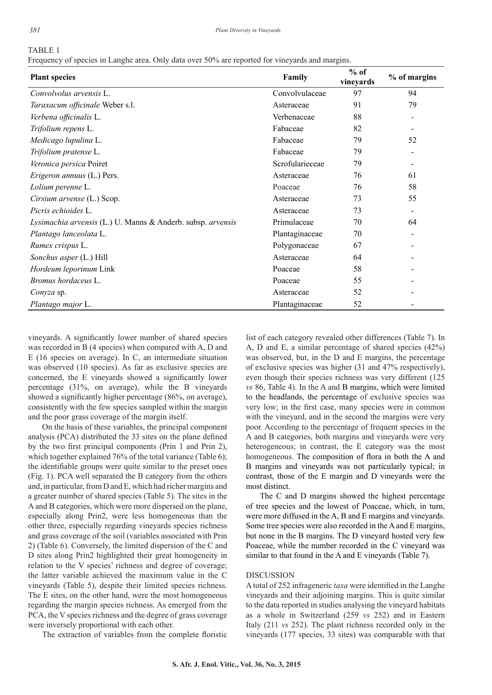### TABLE 1

Frequency of species in Langhe area. Only data over 50% are reported for vineyards and margins.

| <b>Plant species</b>                                        | Family          | $%$ of<br>vineyards | % of margins             |
|-------------------------------------------------------------|-----------------|---------------------|--------------------------|
| Convolvolus arvensis L.                                     | Convolvulaceae  | 97                  | 94                       |
| Taraxacum officinale Weber s.l.                             | Asteraceae      | 91                  | 79                       |
| Verbena officinalis L.                                      | Verbenaceae     | 88                  |                          |
| Trifolium repens L.                                         | Fabaceae        | 82                  |                          |
| Medicago lupulina L.                                        | Fabaceae        | 79                  | 52                       |
| Trifolium pratense L.                                       | Fabaceae        | 79                  |                          |
| Veronica persica Poiret                                     | Scrofularieceae | 79                  |                          |
| <i>Erigeron annuus</i> (L.) Pers.                           | Asteraceae      | 76                  | 61                       |
| Lolium perenne L.                                           | Poaceae         | 76                  | 58                       |
| Cirsium arvense (L.) Scop.                                  | Asteraceae      | 73                  | 55                       |
| Picris echioides L.                                         | Asteraceae      | 73                  | $\overline{\phantom{0}}$ |
| Lysimachia arvensis (L.) U. Manns & Anderb. subsp. arvensis | Primulaceae     | 70                  | 64                       |
| Plantago lanceolata L.                                      | Plantaginaceae  | 70                  |                          |
| Rumex crispus L.                                            | Polygonaceae    | 67                  |                          |
| Sonchus asper (L.) Hill                                     | Asteraceae      | 64                  |                          |
| Hordeum leporinum Link                                      | Poaceae         | 58                  |                          |
| Bromus hordaceus L.                                         | Poaceae         | 55                  |                          |
| Conyza sp.                                                  | Asteraceae      | 52                  |                          |
| Plantago major L.                                           | Plantaginaceae  | 52                  |                          |

vineyards. A significantly lower number of shared species was recorded in B (4 species) when compared with A, D and E (16 species on average). In C, an intermediate situation was observed (10 species). As far as exclusive species are concerned, the E vineyards showed a significantly lower percentage (31%, on average), while the B vineyards showed a significantly higher percentage (86%, on average), consistently with the few species sampled within the margin and the poor grass coverage of the margin itself.

On the basis of these variables, the principal component analysis (PCA) distributed the 33 sites on the plane defined by the two first principal components (Prin 1 and Prin 2), which together explained 76% of the total variance (Table 6); the identifiable groups were quite similar to the preset ones (Fig. 1). PCA well separated the B category from the others and, in particular, from D and E, which had richer margins and a greater number of shared species (Table 5). The sites in the A and B categories, which were more dispersed on the plane, especially along Prin2, were less homogeneous than the other three, especially regarding vineyards species richness and grass coverage of the soil (variables associated with Prin 2) (Table 6). Conversely, the limited dispersion of the C and D sites along Prin2 highlighted their great homogeneity in relation to the V species' richness and degree of coverage; the latter variable achieved the maximum value in the C vineyards (Table 5), despite their limited species richness. The E sites, on the other hand, were the most homogeneous regarding the margin species richness. As emerged from the PCA, the V species richness and the degree of grass coverage were inversely proportional with each other.

The extraction of variables from the complete floristic

list of each category revealed other differences (Table 7). In A, D and E, a similar percentage of shared species (42%) was observed, but, in the D and E margins, the percentage of exclusive species was higher (31 and 47% respectively), even though their species richness was very different (125 *vs* 86, Table 4). In the A and B margins, which were limited to the headlands, the percentage of exclusive species was very low; in the first case, many species were in common with the vineyard, and in the second the margins were very poor. According to the percentage of frequent species in the A and B categories, both margins and vineyards were very heterogeneous; in contrast, the E category was the most homogeneous. The composition of flora in both the A and B margins and vineyards was not particularly typical; in contrast, those of the E margin and D vineyards were the most distinct.

The C and D margins showed the highest percentage of tree species and the lowest of Poaceae, which, in turn, were more diffused in the A, B and E margins and vineyards. Some tree species were also recorded in the A and E margins, but none in the B margins. The D vineyard hosted very few Poaceae, while the number recorded in the C vineyard was similar to that found in the A and E vineyards (Table 7).

## DISCUSSION

A total of 252 infrageneric *taxa* were identified in the Langhe vineyards and their adjoining margins. This is quite similar to the data reported in studies analysing the vineyard habitats as a whole in Switzerland (259 *vs* 252) and in Eastern Italy (211 *vs* 252). The plant richness recorded only in the vineyards (177 species, 33 sites) was comparable with that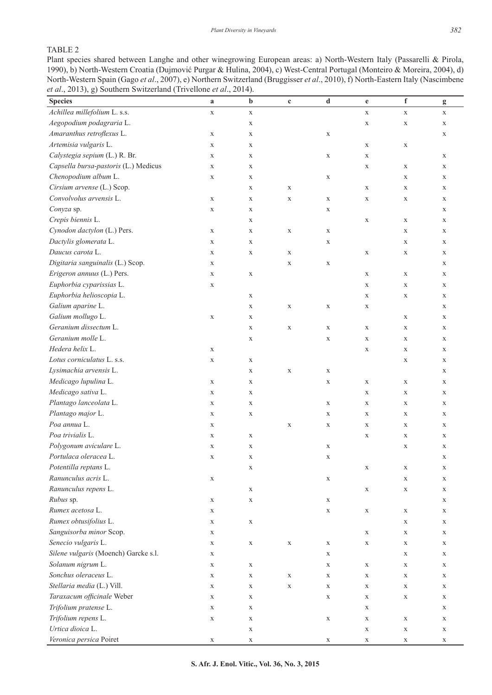# TABLE 2

Plant species shared between Langhe and other winegrowing European areas: a) North-Western Italy (Passarelli & Pirola, 1990), b) North-Western Croatia (Dujmović Purgar & Hulina, 2004), c) West-Central Portugal (Monteiro & Moreira, 2004), d) North-Western Spain (Gago *et al*., 2007), e) Northern Switzerland (Bruggisser *et al*., 2010), f) North-Eastern Italy (Nascimbene *et al*., 2013), g) Southern Switzerland (Trivellone *et al*., 2014).

| <b>Species</b>                       | $\mathbf a$ | $\mathbf b$ | $\mathbf c$ | d           | e           | $\mathbf f$ | g           |
|--------------------------------------|-------------|-------------|-------------|-------------|-------------|-------------|-------------|
| Achillea millefolium L. s.s.         | $\mathbf X$ | $\mathbf X$ |             |             | $\mathbf X$ | $\mathbf X$ | $\mathbf X$ |
| Aegopodium podagraria L.             |             | $\mathbf X$ |             |             | $\mathbf X$ | $\mathbf X$ | $\mathbf X$ |
| Amaranthus retroflexus L.            | $\mathbf X$ | $\mathbf X$ |             | $\mathbf X$ |             |             | $\mathbf X$ |
| Artemisia vulgaris L.                | $\mathbf X$ | $\mathbf X$ |             |             | $\mathbf X$ | $\mathbf X$ |             |
| Calystegia sepium (L.) R. Br.        | $\mathbf X$ | $\mathbf X$ |             | $\mathbf X$ | $\mathbf X$ |             | $\mathbf X$ |
| Capsella bursa-pastoris (L.) Medicus | $\mathbf X$ | $\mathbf X$ |             |             | $\mathbf X$ | $\mathbf X$ | $\mathbf X$ |
| Chenopodium album L.                 | $\mathbf X$ | $\mathbf X$ |             | $\mathbf X$ |             | $\mathbf X$ | $\mathbf X$ |
| Cirsium arvense (L.) Scop.           |             | $\mathbf X$ | $\mathbf X$ |             | $\mathbf X$ | $\mathbf X$ | $\mathbf X$ |
| Convolvolus arvensis L.              | $\mathbf X$ | $\mathbf X$ | $\mathbf X$ | $\mathbf X$ | $\mathbf X$ | $\mathbf X$ | $\mathbf X$ |
| Conyza sp.                           | $\mathbf X$ | $\mathbf X$ |             | $\mathbf X$ |             |             | $\mathbf X$ |
| Crepis biennis L.                    |             | $\mathbf X$ |             |             | $\mathbf X$ | $\mathbf X$ | X           |
| Cynodon dactylon (L.) Pers.          | $\mathbf X$ | $\mathbf X$ | $\mathbf X$ | $\mathbf X$ |             | $\mathbf X$ | $\mathbf X$ |
| Dactylis glomerata L.                | $\mathbf X$ | $\mathbf X$ |             | $\mathbf X$ |             | $\mathbf X$ | $\mathbf X$ |
| Daucus carota L.                     | $\mathbf X$ | $\mathbf X$ | $\mathbf X$ |             | $\mathbf X$ | $\mathbf X$ | $\mathbf X$ |
| Digitaria sanguinalis (L.) Scop.     | $\mathbf X$ |             | X           | $\mathbf X$ |             |             | $\mathbf X$ |
| Erigeron annuus (L.) Pers.           | $\mathbf X$ | $\mathbf X$ |             |             | $\mathbf X$ | $\mathbf X$ | $\mathbf X$ |
| Euphorbia cyparissias L.             | $\mathbf X$ |             |             |             | $\mathbf X$ | $\mathbf X$ | X           |
| Euphorbia helioscopia L.             |             | $\mathbf X$ |             |             | $\mathbf X$ | X           | X           |
| Galium aparine L.                    |             | $\mathbf X$ | $\mathbf X$ | $\mathbf X$ | $\mathbf X$ |             | $\mathbf X$ |
| Galium mollugo L.                    | $\mathbf X$ | $\mathbf X$ |             |             |             | $\mathbf X$ | $\mathbf X$ |
| Geranium dissectum L.                |             | $\mathbf X$ | $\mathbf X$ | $\mathbf X$ | $\mathbf X$ | $\mathbf X$ | $\mathbf X$ |
| Geranium molle L.                    |             | $\mathbf X$ |             | $\mathbf X$ | $\mathbf X$ | $\mathbf X$ | $\mathbf X$ |
| Hedera helix L.                      | $\mathbf X$ |             |             |             | $\mathbf X$ | $\mathbf X$ | $\mathbf X$ |
| Lotus corniculatus L. s.s.           | $\mathbf X$ | $\mathbf X$ |             |             |             | $\mathbf X$ | X           |
| Lysimachia arvensis L.               |             | $\mathbf X$ | $\mathbf X$ | $\mathbf X$ |             |             | $\mathbf X$ |
| Medicago lupulina L.                 | $\mathbf X$ | $\mathbf X$ |             | $\mathbf X$ | $\mathbf X$ | $\mathbf X$ | $\mathbf X$ |
| Medicago sativa L.                   | $\mathbf X$ | $\mathbf X$ |             |             | $\mathbf X$ | $\mathbf X$ | $\mathbf X$ |
| Plantago lanceolata L.               | $\mathbf X$ | $\mathbf X$ |             | $\mathbf X$ | $\mathbf X$ | $\mathbf X$ | $\mathbf X$ |
| Plantago major L.                    | $\mathbf X$ | $\mathbf X$ |             | $\mathbf X$ | $\mathbf X$ | $\mathbf X$ | X           |
| Poa annua L.                         | $\mathbf X$ |             | $\mathbf X$ | X           | $\mathbf X$ | X           | X           |
| Poa trivialis L.                     | $\mathbf X$ | $\mathbf X$ |             |             | $\mathbf X$ | X           | $\mathbf X$ |
| Polygonum aviculare L.               | $\mathbf X$ | $\mathbf X$ |             | $\mathbf X$ |             | $\mathbf X$ | $\mathbf X$ |
| Portulaca oleracea L.                | $\mathbf X$ | $\mathbf X$ |             | X           |             |             | X           |
| Potentilla reptans L.                |             | X           |             |             | X           | X           | X           |
| Ranunculus acris L.                  | X           |             |             | $\mathbf X$ |             | X           | X           |
| Ranunculus repens L.                 |             | $\mathbf X$ |             |             | $\mathbf X$ | $\mathbf X$ | $\mathbf X$ |
| Rubus sp.                            | $\mathbf X$ | $\mathbf X$ |             | $\mathbf X$ |             |             | $\mathbf X$ |
| Rumex acetosa L.                     | $\mathbf X$ |             |             | $\mathbf X$ | $\mathbf X$ | $\mathbf X$ | $\mathbf X$ |
| Rumex obtusifolius L.                | $\mathbf X$ | $\mathbf X$ |             |             |             | $\mathbf X$ | $\mathbf X$ |
| Sanguisorba minor Scop.              | $\mathbf X$ |             |             |             | $\mathbf X$ | $\mathbf X$ | $\mathbf X$ |
| Senecio vulgaris L.                  | $\mathbf X$ | $\mathbf X$ | $\mathbf X$ | $\mathbf X$ | $\mathbf X$ | $\mathbf X$ | X           |
| Silene vulgaris (Moench) Garcke s.l. | $\mathbf X$ |             |             | $\mathbf X$ |             | $\mathbf X$ | $\mathbf X$ |
| Solanum nigrum L.                    | $\mathbf X$ | $\mathbf X$ |             | $\mathbf X$ | $\mathbf X$ | $\mathbf X$ | $\mathbf X$ |
| Sonchus oleraceus L.                 | $\mathbf X$ | $\mathbf X$ | $\mathbf X$ | $\mathbf X$ | $\mathbf X$ | $\mathbf X$ | $\mathbf X$ |
| Stellaria media (L.) Vill.           | $\mathbf X$ | $\mathbf X$ | $\mathbf X$ | $\mathbf X$ | $\mathbf X$ | $\mathbf X$ | $\mathbf X$ |
| Taraxacum officinale Weber           | $\mathbf X$ | $\mathbf X$ |             | X           | $\mathbf X$ | $\mathbf X$ | $\mathbf X$ |
| Trifolium pratense L.                | $\mathbf X$ | $\mathbf X$ |             |             | $\mathbf X$ |             | X           |
| Trifolium repens L.                  | $\mathbf X$ | $\mathbf X$ |             | $\mathbf X$ | $\mathbf X$ | $\mathbf X$ | X           |
| Urtica dioica L.                     |             | $\mathbf X$ |             |             | $\mathbf X$ | $\mathbf X$ | $\mathbf X$ |
| Veronica persica Poiret              | X           | X           |             | X           | $\mathbf X$ | $\mathbf X$ | X           |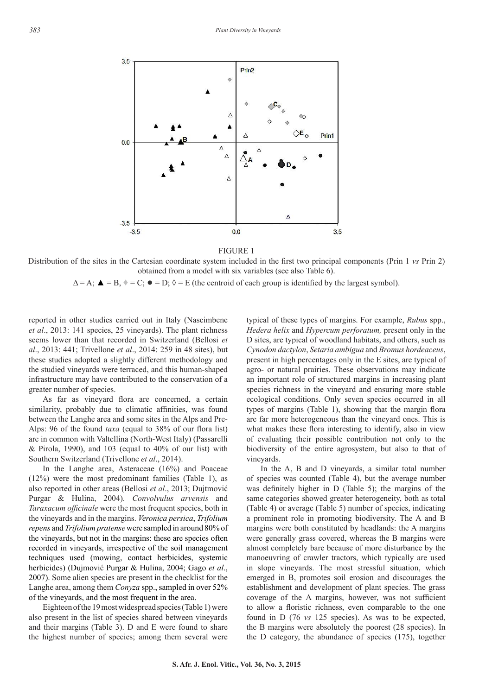

FIGURE 1

Distribution of the sites in the Cartesian coordinate system included in the first two principal components (Prin 1 *vs* Prin 2) obtained from a model with six variables (see also Table 6).

 $\Delta = A$ ;  $\blacktriangle = B$ ,  $\blacklozenge = C$ ;  $\blacklozenge = D$ ;  $\lozenge = E$  (the centroid of each group is identified by the largest symbol).

reported in other studies carried out in Italy (Nascimbene *et al*., 2013: 141 species, 25 vineyards). The plant richness seems lower than that recorded in Switzerland (Bellosi *et al*., 2013: 441; Trivellone *et al*., 2014: 259 in 48 sites), but these studies adopted a slightly different methodology and the studied vineyards were terraced, and this human-shaped infrastructure may have contributed to the conservation of a greater number of species.

As far as vineyard flora are concerned, a certain similarity, probably due to climatic affinities, was found between the Langhe area and some sites in the Alps and Pre-Alps: 96 of the found *taxa* (equal to 38% of our flora list) are in common with Valtellina (North-West Italy) (Passarelli  $& Pirola, 1990$ , and 103 (equal to 40% of our list) with Southern Switzerland (Trivellone *et al*., 2014).

In the Langhe area, Asteraceae (16%) and Poaceae (12%) were the most predominant families (Table 1), as also reported in other areas (Bellosi *et al*., 2013; Dujtmović Purgar & Hulina, 2004). *Convolvulus arvensis* and *Taraxacum officinale* were the most frequent species, both in the vineyards and in the margins. *Veronica persica*, *Trifolium repens* and *Trifolium pratense* were sampled in around 80% of the vineyards, but not in the margins: these are species often recorded in vineyards, irrespective of the soil management techniques used (mowing, contact herbicides, systemic herbicides) (Dujmović Purgar & Hulina, 2004; Gago *et al*., 2007). Some alien species are present in the checklist for the Langhe area, among them *Conyza* spp., sampled in over 52% of the vineyards, and the most frequent in the area.

Eighteen of the 19 most widespread species (Table 1) were also present in the list of species shared between vineyards and their margins (Table 3). D and E were found to share the highest number of species; among them several were typical of these types of margins. For example, *Rubus* spp., *Hedera helix* and *Hypercum perforatum,* present only in the D sites, are typical of woodland habitats, and others, such as *Cynodon dactylon*, *Setaria ambigua* and *Bromus hordeaceus*, present in high percentages only in the E sites, are typical of agro- or natural prairies. These observations may indicate an important role of structured margins in increasing plant species richness in the vineyard and ensuring more stable ecological conditions. Only seven species occurred in all types of margins (Table 1), showing that the margin flora are far more heterogeneous than the vineyard ones. This is what makes these flora interesting to identify, also in view of evaluating their possible contribution not only to the biodiversity of the entire agrosystem, but also to that of vineyards.

In the A, B and D vineyards, a similar total number of species was counted (Table 4), but the average number was definitely higher in D (Table 5); the margins of the same categories showed greater heterogeneity, both as total (Table 4) or average (Table 5) number of species, indicating a prominent role in promoting biodiversity. The A and B margins were both constituted by headlands: the A margins were generally grass covered, whereas the B margins were almost completely bare because of more disturbance by the manoeuvring of crawler tractors, which typically are used in slope vineyards. The most stressful situation, which emerged in B, promotes soil erosion and discourages the establishment and development of plant species. The grass coverage of the A margins, however, was not sufficient to allow a floristic richness, even comparable to the one found in D (76 *vs* 125 species). As was to be expected, the B margins were absolutely the poorest (28 species). In the D category, the abundance of species (175), together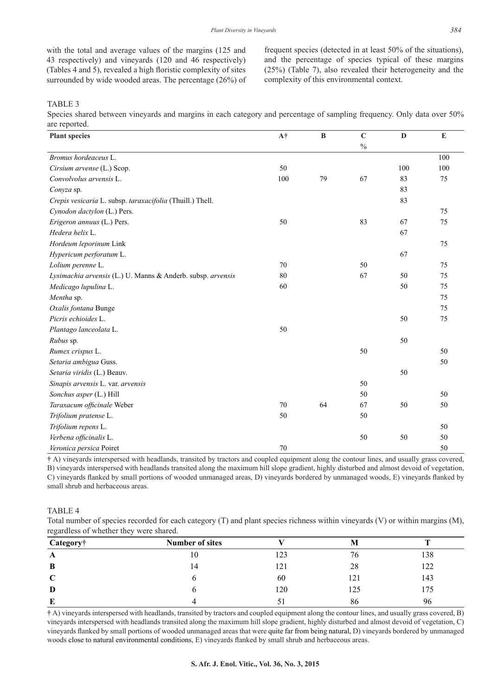with the total and average values of the margins (125 and 43 respectively) and vineyards (120 and 46 respectively) (Tables 4 and 5), revealed a high floristic complexity of sites surrounded by wide wooded areas. The percentage (26%) of frequent species (detected in at least 50% of the situations), and the percentage of species typical of these margins (25%) (Table 7), also revealed their heterogeneity and the complexity of this environmental context.

TABLE 3

Species shared between vineyards and margins in each category and percentage of sampling frequency. Only data over 50% are reported.

| <b>Plant species</b>                                        | At  | $\bf{B}$ | $\mathbf C$   | $\mathbf{D}$ | ${\bf E}$ |
|-------------------------------------------------------------|-----|----------|---------------|--------------|-----------|
|                                                             |     |          | $\frac{0}{0}$ |              |           |
| Bromus hordeaceus L.                                        |     |          |               |              | 100       |
| Cirsium arvense (L.) Scop.                                  | 50  |          |               | 100          | 100       |
| Convolvolus arvensis L.                                     | 100 | 79       | 67            | 83           | 75        |
| Conyza sp.                                                  |     |          |               | 83           |           |
| Crepis vesicaria L. subsp. taraxacifolia (Thuill.) Thell.   |     |          |               | 83           |           |
| Cynodon dactylon (L.) Pers.                                 |     |          |               |              | 75        |
| Erigeron annuus (L.) Pers.                                  | 50  |          | 83            | 67           | 75        |
| Hedera helix L.                                             |     |          |               | 67           |           |
| Hordeum leporinum Link                                      |     |          |               |              | 75        |
| Hypericum perforatum L.                                     |     |          |               | 67           |           |
| Lolium perenne L.                                           | 70  |          | 50            |              | 75        |
| Lysimachia arvensis (L.) U. Manns & Anderb. subsp. arvensis | 80  |          | 67            | 50           | 75        |
| Medicago lupulina L.                                        | 60  |          |               | 50           | 75        |
| Mentha sp.                                                  |     |          |               |              | 75        |
| Oxalis fontana Bunge                                        |     |          |               |              | 75        |
| Picris echioides L.                                         |     |          |               | 50           | 75        |
| Plantago lanceolata L.                                      | 50  |          |               |              |           |
| Rubus sp.                                                   |     |          |               | 50           |           |
| Rumex crispus L.                                            |     |          | 50            |              | 50        |
| Setaria ambigua Guss.                                       |     |          |               |              | 50        |
| Setaria viridis (L.) Beauv.                                 |     |          |               | 50           |           |
| Sinapis arvensis L. var. arvensis                           |     |          | 50            |              |           |
| Sonchus asper (L.) Hill                                     |     |          | 50            |              | 50        |
| Taraxacum officinale Weber                                  | 70  | 64       | 67            | 50           | 50        |
| Trifolium pratense L.                                       | 50  |          | 50            |              |           |
| Trifolium repens L.                                         |     |          |               |              | 50        |
| Verbena officinalis L.                                      |     |          | 50            | 50           | 50        |
| Veronica persica Poiret                                     | 70  |          |               |              | 50        |

**†** A) vineyards interspersed with headlands, transited by tractors and coupled equipment along the contour lines, and usually grass covered, B) vineyards interspersed with headlands transited along the maximum hill slope gradient, highly disturbed and almost devoid of vegetation, C) vineyards flanked by small portions of wooded unmanaged areas, D) vineyards bordered by unmanaged woods, E) vineyards flanked by small shrub and herbaceous areas.

## TABLE 4

Total number of species recorded for each category (T) and plant species richness within vineyards (V) or within margins (M), regardless of whether they were shared.

| Category† | <b>Number of sites</b> |     |     |     |
|-----------|------------------------|-----|-----|-----|
| A         | 10                     | 123 |     | 138 |
| B         | 14                     | 121 | 28  | 122 |
|           |                        | 60  | 121 | 143 |
| D         |                        | 120 | 125 | 175 |
|           |                        |     | 86  | 96  |

**†** A) vineyards interspersed with headlands, transited by tractors and coupled equipment along the contour lines, and usually grass covered, B) vineyards interspersed with headlands transited along the maximum hill slope gradient, highly disturbed and almost devoid of vegetation, C) vineyards flanked by small portions of wooded unmanaged areas that were quite far from being natural, D) vineyards bordered by unmanaged woods close to natural environmental conditions, E) vineyards flanked by small shrub and herbaceous areas.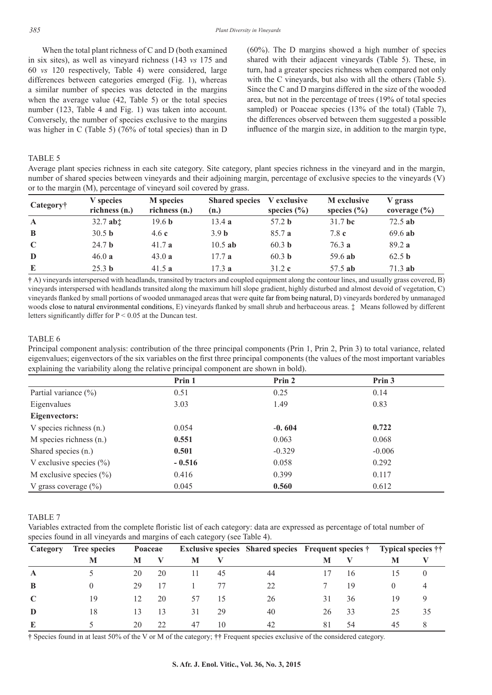When the total plant richness of C and D (both examined in six sites), as well as vineyard richness (143 *vs* 175 and 60 *vs* 120 respectively, Table 4) were considered, large differences between categories emerged (Fig. 1), whereas a similar number of species was detected in the margins when the average value (42, Table 5) or the total species number (123, Table 4 and Fig. 1) was taken into account. Conversely, the number of species exclusive to the margins was higher in C (Table 5) (76% of total species) than in D (60%). The D margins showed a high number of species shared with their adjacent vineyards (Table 5). These, in turn, had a greater species richness when compared not only with the C vineyards, but also with all the others (Table 5). Since the C and D margins differed in the size of the wooded area, but not in the percentage of trees (19% of total species sampled) or Poaceae species (13% of the total) (Table 7), the differences observed between them suggested a possible influence of the margin size, in addition to the margin type,

## TABLE 5

Average plant species richness in each site category. Site category, plant species richness in the vineyard and in the margin, number of shared species between vineyards and their adjoining margin, percentage of exclusive species to the vineyards (V) or to the margin (M), percentage of vineyard soil covered by grass.

| Category†    | V species<br>richness (n.) | <b>M</b> species<br>richness (n.) | Shared species V exclusive<br>(n.) | species $(\% )$   | <b>M</b> exclusive<br>species $(\% )$ | V grass<br>coverage $(\% )$ |
|--------------|----------------------------|-----------------------------------|------------------------------------|-------------------|---------------------------------------|-----------------------------|
| $\mathbf{A}$ | $32.7$ ab $\ddagger$       | 19.6 <sub>b</sub>                 | 13.4a                              | 57.2 b            | 31.7 bc                               | $72.5$ ab                   |
| B            | 30.5 <sub>b</sub>          | 4.6 c                             | 3.9 <sub>b</sub>                   | 85.7 a            | 7.8c                                  | $69.6$ ab                   |
| $\mathbf C$  | 24.7 <sub>b</sub>          | 41.7a                             | $10.5$ ab                          | 60.3 <sub>b</sub> | 76.3a                                 | 89.2 a                      |
| D            | 46.0a                      | 43.0a                             | 17.7 a                             | 60.3 <sub>b</sub> | 59.6 ab                               | 62.5 <sub>b</sub>           |
| E            | 25.3 <sub>b</sub>          | 41.5 $a$                          | 17.3a                              | 31.2c             | 57.5 ab                               | $71.3$ ab                   |

**†** A) vineyards interspersed with headlands, transited by tractors and coupled equipment along the contour lines, and usually grass covered, B) vineyards interspersed with headlands transited along the maximum hill slope gradient, highly disturbed and almost devoid of vegetation, C) vineyards flanked by small portions of wooded unmanaged areas that were quite far from being natural, D) vineyards bordered by unmanaged woods close to natural environmental conditions, E) vineyards flanked by small shrub and herbaceous areas.  $\ddagger$  Means followed by different letters significantly differ for P < 0.05 at the Duncan test.

## TABLE 6

Principal component analysis: contribution of the three principal components (Prin 1, Prin 2, Prin 3) to total variance, related eigenvalues; eigenvectors of the six variables on the first three principal components (the values of the most important variables explaining the variability along the relative principal component are shown in bold).

|                             | Prin 1   | Prin 2   | Prin 3   |
|-----------------------------|----------|----------|----------|
| Partial variance $(\% )$    | 0.51     | 0.25     | 0.14     |
| Eigenvalues                 | 3.03     | 1.49     | 0.83     |
| <b>Eigenvectors:</b>        |          |          |          |
| V species richness $(n.)$   | 0.054    | $-0.604$ | 0.722    |
| $M$ species richness $(n.)$ | 0.551    | 0.063    | 0.068    |
| Shared species (n.)         | 0.501    | $-0.329$ | $-0.006$ |
| V exclusive species $(\% )$ | $-0.516$ | 0.058    | 0.292    |
| M exclusive species $(\% )$ | 0.416    | 0.399    | 0.117    |
| V grass coverage $(\% )$    | 0.045    | 0.560    | 0.612    |

#### TABLE 7

Variables extracted from the complete floristic list of each category: data are expressed as percentage of total number of species found in all vineyards and margins of each category (see Table 4).

| Category | Tree species | Poaceae |    |    |    |    | <b>Exclusive species</b> Shared species Frequent species † |    | Typical species †† |    |
|----------|--------------|---------|----|----|----|----|------------------------------------------------------------|----|--------------------|----|
|          | M            | М       | V  | M  |    |    |                                                            |    |                    |    |
| A        |              | 20      | 20 | 11 | 45 | 44 |                                                            | 16 |                    |    |
| B        |              | 29      | 17 |    |    | 22 |                                                            | 19 | $\theta$           |    |
| C        | 19           | 12      | 20 | 57 | 15 | 26 | 31                                                         | 36 | 19                 |    |
| D        | 18           | 13      | 13 | 31 | 29 | 40 | 26                                                         | 33 | 25                 | 35 |
| E        |              | 20      | 22 | 47 | 10 | 42 | 81                                                         | 54 | 45                 |    |

**†** Species found in at least 50% of the V or M of the category; **††** Frequent species exclusive of the considered category.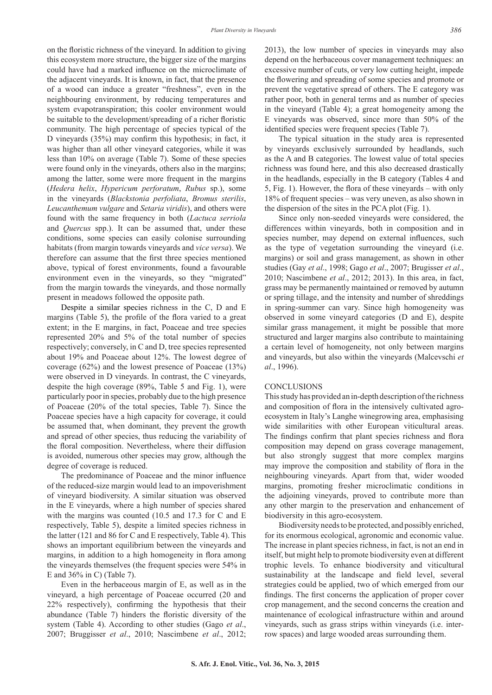on the floristic richness of the vineyard. In addition to giving this ecosystem more structure, the bigger size of the margins could have had a marked influence on the microclimate of the adjacent vineyards. It is known, in fact, that the presence of a wood can induce a greater "freshness", even in the neighbouring environment, by reducing temperatures and system evapotranspiration; this cooler environment would be suitable to the development/spreading of a richer floristic community. The high percentage of species typical of the D vineyards (35%) may confirm this hypothesis; in fact, it was higher than all other vineyard categories, while it was less than 10% on average (Table 7). Some of these species were found only in the vineyards, others also in the margins; among the latter, some were more frequent in the margins (*Hedera helix*, *Hypericum perforatum*, *Rubus* sp.), some in the vineyards (*Blackstonia perfoliata*, *Bromus sterilis*, *Leucanthemum vulgare* and *Setaria viridis*), and others were found with the same frequency in both (*Lactuca serriola* and *Quercus* spp.). It can be assumed that, under these conditions, some species can easily colonise surrounding habitats (from margin towards vineyards and *vice versa*). We therefore can assume that the first three species mentioned above, typical of forest environments, found a favourable environment even in the vineyards, so they "migrated" from the margin towards the vineyards, and those normally present in meadows followed the opposite path.

Despite a similar species richness in the C, D and E margins (Table 5), the profile of the flora varied to a great extent; in the E margins, in fact, Poaceae and tree species represented 20% and 5% of the total number of species respectively; conversely, in C and D, tree species represented about 19% and Poaceae about 12%. The lowest degree of coverage (62%) and the lowest presence of Poaceae (13%) were observed in D vineyards. In contrast, the C vineyards, despite the high coverage (89%, Table 5 and Fig. 1), were particularly poor in species, probably due to the high presence of Poaceae (20% of the total species, Table 7). Since the Poaceae species have a high capacity for coverage, it could be assumed that, when dominant, they prevent the growth and spread of other species, thus reducing the variability of the floral composition. Nevertheless, where their diffusion is avoided, numerous other species may grow, although the degree of coverage is reduced.

The predominance of Poaceae and the minor influence of the reduced-size margin would lead to an impoverishment of vineyard biodiversity. A similar situation was observed in the E vineyards, where a high number of species shared with the margins was counted (10.5 and 17.3 for C and E respectively, Table 5), despite a limited species richness in the latter (121 and 86 for C and E respectively, Table 4). This shows an important equilibrium between the vineyards and margins, in addition to a high homogeneity in flora among the vineyards themselves (the frequent species were 54% in E and 36% in C) (Table 7).

Even in the herbaceous margin of E, as well as in the vineyard, a high percentage of Poaceae occurred (20 and 22% respectively), confirming the hypothesis that their abundance (Table 7) hinders the floristic diversity of the system (Table 4). According to other studies (Gago *et al*., 2007; Bruggisser *et al*., 2010; Nascimbene *et al*., 2012;

2013), the low number of species in vineyards may also depend on the herbaceous cover management techniques: an excessive number of cuts, or very low cutting height, impede the flowering and spreading of some species and promote or prevent the vegetative spread of others. The E category was rather poor, both in general terms and as number of species in the vineyard (Table 4); a great homogeneity among the E vineyards was observed, since more than 50% of the identified species were frequent species (Table 7).

The typical situation in the study area is represented by vineyards exclusively surrounded by headlands, such as the A and B categories. The lowest value of total species richness was found here, and this also decreased drastically in the headlands, especially in the B category (Tables 4 and 5, Fig. 1). However, the flora of these vineyards – with only 18% of frequent species – was very uneven, as also shown in the dispersion of the sites in the PCA plot (Fig. 1).

Since only non-seeded vineyards were considered, the differences within vineyards, both in composition and in species number, may depend on external influences, such as the type of vegetation surrounding the vineyard (i.e. margins) or soil and grass management, as shown in other studies (Gay *et al*., 1998; Gago *et al*., 2007; Brugisser *et al*., 2010; Nascimbene *et al*., 2012; 2013). In this area, in fact, grass may be permanently maintained or removed by autumn or spring tillage, and the intensity and number of shreddings in spring-summer can vary. Since high homogeneity was observed in some vineyard categories (D and E), despite similar grass management, it might be possible that more structured and larger margins also contribute to maintaining a certain level of homogeneity, not only between margins and vineyards, but also within the vineyards (Malcevschi *et al*., 1996).

#### **CONCLUSIONS**

This study has provided an in-depth description of the richness and composition of flora in the intensively cultivated agroecosystem in Italy's Langhe winegrowing area, emphasising wide similarities with other European viticultural areas. The findings confirm that plant species richness and flora composition may depend on grass coverage management, but also strongly suggest that more complex margins may improve the composition and stability of flora in the neighbouring vineyards. Apart from that, wider wooded margins, promoting fresher microclimatic conditions in the adjoining vineyards, proved to contribute more than any other margin to the preservation and enhancement of biodiversity in this agro-ecosystem.

Biodiversity needs to be protected, and possibly enriched, for its enormous ecological, agronomic and economic value. The increase in plant species richness, in fact, is not an end in itself, but might help to promote biodiversity even at different trophic levels. To enhance biodiversity and viticultural sustainability at the landscape and field level, several strategies could be applied, two of which emerged from our findings. The first concerns the application of proper cover crop management, and the second concerns the creation and maintenance of ecological infrastructure within and around vineyards, such as grass strips within vineyards (i.e. interrow spaces) and large wooded areas surrounding them.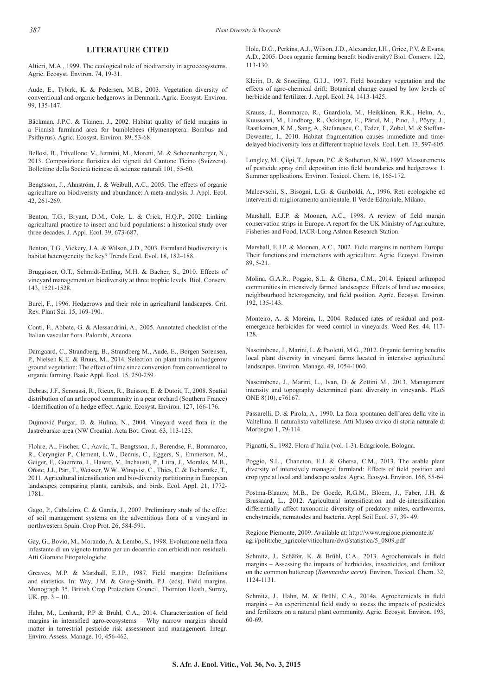# **LITERATURE CITED**

Altieri, M.A., 1999. The ecological role of biodiversity in agroecosystems. Agric. Ecosyst. Environ. 74, 19-31.

Aude, E., Tybirk, K. & Pedersen, M.B., 2003. Vegetation diversity of conventional and organic hedgerows in Denmark. Agric. Ecosyst. Environ. 99, 135-147.

Bäckman, J.P.C. & Tiainen, J., 2002. Habitat quality of field margins in a Finnish farmland area for bumblebees (Hymenoptera: Bombus and Psithyrus). Agric. Ecosyst. Environ. 89, 53-68.

Bellosi, B., Trivellone, V., Jermini, M., Moretti, M. & Schoenenberger, N., 2013. Composizione floristica dei vigneti del Cantone Ticino (Svizzera). Bollettino della Società ticinese di scienze naturali 101, 55-60.

Bengtsson, J., Ahnström, J. & Weibull, A.C., 2005. The effects of organic agriculture on biodiversity and abundance: A meta-analysis. J. Appl. Ecol. 42, 261-269.

Benton, T.G., Bryant, D.M., Cole, L. & Crick, H.Q.P., 2002. Linking agricultural practice to insect and bird populations: a historical study over three decades. J. Appl. Ecol. 39, 673-687.

Benton, T.G., Vickery, J.A. & Wilson, J.D., 2003. Farmland biodiversity: is habitat heterogeneity the key? Trends Ecol. Evol. 18, 182–188.

Bruggisser, O.T., Schmidt-Entling, M.H. & Bacher, S., 2010. Effects of vineyard management on biodiversity at three trophic levels. Biol. Conserv. 143, 1521-1528.

Burel, F., 1996. Hedgerows and their role in agricultural landscapes. Crit. Rev. Plant Sci. 15, 169-190.

Conti, F., Abbate, G. & Alessandrini, A., 2005. Annotated checklist of the Italian vascular flora. Palombi, Ancona.

Damgaard, C., Strandberg, B., Strandberg M., Aude, E., Borgen Sørensen, P., Nielsen K.E. & Bruus, M., 2014. Selection on plant traits in hedgerow ground vegetation: The effect of time since conversion from conventional to organic farming. Basic Appl. Ecol. 15, 250-259.

Debras, J.F., Senoussi, R., Rieux, R., Buisson, E. & Dutoit, T., 2008. Spatial distribution of an arthropod community in a pear orchard (Southern France) - Identification of a hedge effect. Agric. Ecosyst. Environ. 127, 166-176.

Dujmović Purgar, D. & Hulina, N., 2004. Vineyard weed flora in the Jastrebarsko area (NW Croatia). Acta Bot. Croat. 63, 113-123.

Flohre, A., Fischer, C., Aavik, T., Bengtsson, J., Berendse, F., Bommarco, R., Ceryngier P., Clement, L.W., Dennis, C., Eggers, S., Emmerson, M., Geiger, F., Guerrero, I., Hawro, V., Inchausti, P., Liira, J., Morales, M.B., Oñate, J.J., Pärt, T., Weisser, W.W., Winqvist, C., Thies, C. & Tscharntke, T., 2011. Agricultural intensification and bio-diversity partitioning in European landscapes comparing plants, carabids, and birds. Ecol. Appl. 21, 1772- 1781.

Gago, P., Cabaleiro, C. & García, J., 2007. Preliminary study of the effect of soil management systems on the adventitious flora of a vineyard in northwestern Spain. Crop Prot. 26, 584-591.

Gay, G., Bovio, M., Morando, A. & Lembo, S., 1998. Evoluzione nella flora infestante di un vigneto trattato per un decennio con erbicidi non residuali. Atti Giornate Fitopatologiche.

Greaves, M.P. & Marshall, E.J.P., 1987. Field margins: Definitions and statistics. In: Way, J.M. & Greig-Smith, P.J. (eds). Field margins. Monograph 35, British Crop Protection Council, Thornton Heath, Surrey, UK. pp. 3 – 10.

Hahn, M., Lenhardt, P.P & Brühl, C.A., 2014. Characterization of field margins in intensified agro-ecosystems – Why narrow margins should matter in terrestrial pesticide risk assessment and management. Integr. Enviro. Assess. Manage. 10, 456-462.

Hole, D.G., Perkins, A.J., Wilson, J.D., Alexander, I.H., Grice, P.V. & Evans, A.D., 2005. Does organic farming benefit biodiversity? Biol. Conserv. 122, 113-130.

Kleijn, D. & Snoeijing, G.I.J., 1997. Field boundary vegetation and the effects of agro-chemical drift: Botanical change caused by low levels of herbicide and fertilizer. J. Appl. Ecol. 34, 1413-1425.

Krauss, J., Bommarco, R., Guardiola, M., Heikkinen, R.K., Helm, A., Kuussaari, M., Lindborg, R., Öckinger, E., Pärtel, M., Pino, J., Pöyry, J., Raatikainen, K.M., Sang, A., Stefanescu, C., Teder, T., Zobel, M. & Steffan-Dewenter, I., 2010. Habitat fragmentation causes immediate and timedelayed biodiversity loss at different trophic levels. Ecol. Lett. 13, 597-605.

Longley, M., Çilgi, T., Jepson, P.C. & Sotherton, N.W., 1997. Measurements of pesticide spray drift deposition into field boundaries and hedgerows: 1. Summer applications. Environ. Toxicol. Chem. 16, 165-172.

Malcevschi, S., Bisogni, L.G. & Gariboldi, A., 1996. Reti ecologiche ed interventi di miglioramento ambientale. Il Verde Editoriale, Milano.

Marshall, E.J.P. & Moonen, A.C., 1998. A review of field margin conservation strips in Europe. A report for the UK Ministry of Agriculture, Fisheries and Food, IACR-Long Ashton Research Station.

Marshall, E.J.P. & Moonen, A.C., 2002. Field margins in northern Europe: Their functions and interactions with agriculture. Agric. Ecosyst. Environ. 89, 5-21.

Molina, G.A.R., Poggio, S.L. & Ghersa, C.M., 2014. Epigeal arthropod communities in intensively farmed landscapes: Effects of land use mosaics, neighbourhood heterogeneity, and field position. Agric. Ecosyst. Environ. 192, 135-143.

Monteiro, A. & Moreira, I., 2004. Reduced rates of residual and postemergence herbicides for weed control in vineyards. Weed Res. 44, 117- 128.

Nascimbene, J., Marini, L. & Paoletti, M.G., 2012. Organic farming benefits local plant diversity in vineyard farms located in intensive agricultural landscapes. Environ. Manage. 49, 1054-1060.

Nascimbene, J., Marini, L., Ivan, D. & Zottini M., 2013. Management intensity and topography determined plant diversity in vineyards. PLoS ONE 8(10), e76167.

Passarelli, D. & Pirola, A., 1990. La flora spontanea dell'area della vite in Valtellina. Il naturalista valtellinese. Atti Museo civico di storia naturale di Morbegno 1, 79-114.

Pignatti, S., 1982. Flora d'Italia (vol. 1-3). Edagricole, Bologna.

Poggio, S.L., Chaneton, E.J. & Ghersa, C.M., 2013. The arable plant diversity of intensively managed farmland: Effects of field position and crop type at local and landscape scales. Agric. Ecosyst. Environ. 166, 55-64.

Postma-Blaauw, M.B., De Goede, R.G.M., Bloem, J., Faber, J.H. & Brussaard, L., 2012. Agricultural intensification and de-intensification differentially affect taxonomic diversity of predatory mites, earthworms, enchytraeids, nematodes and bacteria. Appl Soil Ecol. 57, 39- 49.

Regione Piemonte, 2009. Available at: http://www.regione.piemonte.it/ agri/politiche\_agricole/viticoltura/dwd/statistica/5\_0809.pdf

Schmitz, J., Schäfer, K. & Brühl, C.A., 2013. Agrochemicals in field margins – Assessing the impacts of herbicides, insecticides, and fertilizer on the common buttercup (*Ranunculus acris*). Environ. Toxicol. Chem. 32, 1124-1131.

Schmitz, J., Hahn, M. & Brühl, C.A., 2014a. Agrochemicals in field margins – An experimental field study to assess the impacts of pesticides and fertilizers on a natural plant community. Agric. Ecosyst. Environ. 193, 60-69.